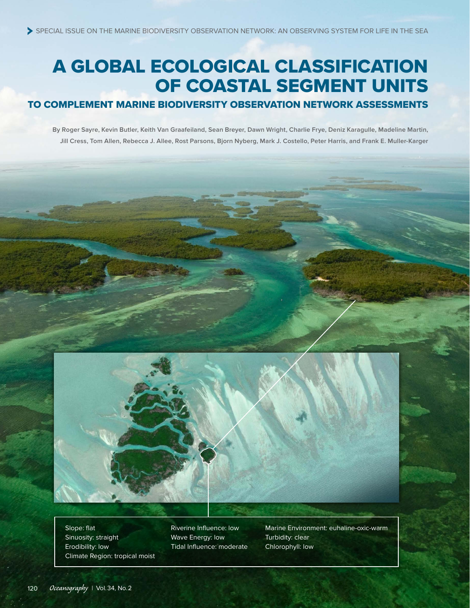# A GLOBAL ECOLOGICAL CLASSIFICATION OF COASTAL SEGMENT UNITS

## TO COMPLEMENT MARINE BIODIVERSITY OBSERVATION NETWORK ASSESSMENTS

**By Roger Sayre, Kevin Butler, Keith Van Graafeiland, Sean Breyer, Dawn Wright, Charlie Frye, Deniz Karagulle, Madeline Martin, Jill Cress, Tom Allen, Rebecca J. Allee, Rost Parsons, Bjorn Nyberg, Mark J. Costello, Peter Harris, and Frank E. Muller-Karger**



Slope: flat Sinuosity: straight Erodibility: low Climate Region: tropical moist Riverine Influence: low Wave Energy: low Tidal Influence: moderate Marine Environment: euhaline-oxic-warm Turbidity: clear Chlorophyll: low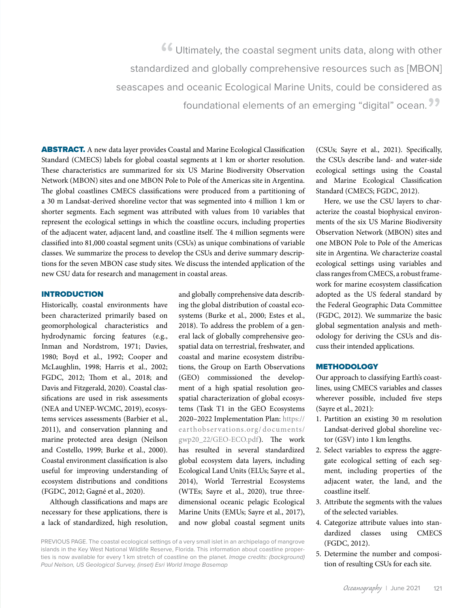ABSTRACT. A new data layer provides Coastal and Marine Ecological Classification Standard (CMECS) labels for global coastal segments at 1 km or shorter resolution. These characteristics are summarized for six US Marine Biodiversity Observation Network (MBON) sites and one MBON Pole to Pole of the Americas site in Argentina. The global coastlines CMECS classifications were produced from a partitioning of a 30 m Landsat-derived shoreline vector that was segmented into 4 million 1 km or shorter segments. Each segment was attributed with values from 10 variables that represent the ecological settings in which the coastline occurs, including properties of the adjacent water, adjacent land, and coastline itself. The 4 million segments were classified into 81,000 coastal segment units (CSUs) as unique combinations of variable classes. We summarize the process to develop the CSUs and derive summary descriptions for the seven MBON case study sites. We discuss the intended application of the new CSU data for research and management in coastal areas.

#### INTRODUCTION

Historically, coastal environments have been characterized primarily based on geomorphological characteristics and hydrodynamic forcing features (e.g., Inman and Nordstrom, 1971; Davies, 1980; Boyd et al., 1992; Cooper and McLaughlin, 1998; Harris et al., 2002; FGDC, 2012; Thom et al., 2018; and Davis and Fitzgerald, 2020). Coastal classifications are used in risk assessments (NEA and UNEP-WCMC, 2019), ecosystems services assessments (Barbier et al., 2011), and conservation planning and marine protected area design (Neilson and Costello, 1999; Burke et al., 2000). Coastal environment classification is also useful for improving understanding of ecosystem distributions and conditions (FGDC, 2012; Gagné et al., 2020).

Although classifications and maps are necessary for these applications, there is a lack of standardized, high resolution, and globally comprehensive data describing the global distribution of coastal ecosystems (Burke et al., 2000; Estes et al., 2018). To address the problem of a general lack of globally comprehensive geospatial data on terrestrial, freshwater, and coastal and marine ecosystem distributions, the Group on Earth Observations (GEO) commissioned the development of a high spatial resolution geospatial characterization of global ecosystems (Task T1 in the GEO Ecosystems 2020–2022 Implementation Plan: [https://](https://earthobservations.org/documents/gwp20_22/GEO-ECO.pdf) [earthobservations.org/](https://earthobservations.org/documents/gwp20_22/GEO-ECO.pdf) documents/ [gwp20\\_22/GEO-ECO.pdf](https://earthobservations.org/documents/gwp20_22/GEO-ECO.pdf)). The work has resulted in several standardized global ecosystem data layers, including Ecological Land Units (ELUs; Sayre et al., 2014), World Terrestrial Ecosystems (WTEs; Sayre et al., 2020), true threedimensional oceanic pelagic Ecological Marine Units (EMUs; Sayre et al., 2017), and now global coastal segment units

(CSUs; Sayre et al., 2021). Specifically, the CSUs describe land- and water-side ecological settings using the Coastal and Marine Ecological Classification Standard (CMECS; FGDC, 2012).

Here, we use the CSU layers to characterize the coastal biophysical environments of the six US Marine Biodiversity Observation Network (MBON) sites and one MBON Pole to Pole of the Americas site in Argentina. We characterize coastal ecological settings using variables and class ranges from CMECS, a robust framework for marine ecosystem classification adopted as the US federal standard by the Federal Geographic Data Committee (FGDC, 2012). We summarize the basic global segmentation analysis and methodology for deriving the CSUs and discuss their intended applications.

## METHODOLOGY

Our approach to classifying Earth's coastlines, using CMECS variables and classes wherever possible, included five steps (Sayre et al., 2021):

- 1. Partition an existing 30 m resolution Landsat-derived global shoreline vector (GSV) into 1 km lengths.
- 2. Select variables to express the aggregate ecological setting of each segment, including properties of the adjacent water, the land, and the coastline itself.
- 3. Attribute the segments with the values of the selected variables.
- 4. Categorize attribute values into standardized classes using CMECS (FGDC, 2012).
- 5. Determine the number and composition of resulting CSUs for each site.

PREVIOUS PAGE. The coastal ecological settings of a very small islet in an archipelago of mangrove islands in the Key West National Wildlife Reserve, Florida. This information about coastline properties is now available for every 1 km stretch of coastline on the planet. *Image credits: (background) Paul Nelson, US Geological Survey, (inset) Esri World Image Basemap*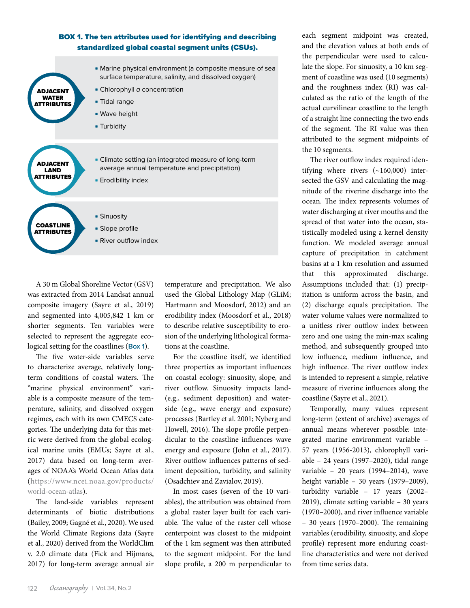

## BOX 1. The ten attributes used for identifying and describing standardized global coastal segment units (CSUs).

A 30 m Global Shoreline Vector (GSV) was extracted from 2014 Landsat annual composite imagery (Sayre et al., 2019) and segmented into 4,005,842 1 km or shorter segments. Ten variables were selected to represent the aggregate ecological setting for the coastlines (**Box 1**).

The five water-side variables serve to characterize average, relatively longterm conditions of coastal waters. The "marine physical environment" variable is a composite measure of the temperature, salinity, and dissolved oxygen regimes, each with its own CMECS categories. The underlying data for this metric were derived from the global ecological marine units (EMUs; Sayre et al., 2017) data based on long-term averages of NOAA's World Ocean Atlas data ([https://www.ncei.noaa.gov/products/](https://www.ncei.noaa.gov/products/world-ocean-atlas) [world-ocean-atlas\)](https://www.ncei.noaa.gov/products/world-ocean-atlas).

The land-side variables represent determinants of biotic distributions (Bailey, 2009; Gagné et al., 2020). We used the World Climate Regions data (Sayre et al., 2020) derived from the WorldClim v. 2.0 climate data (Fick and Hijmans, 2017) for long-term average annual air temperature and precipitation. We also used the Global Lithology Map (GLiM; Hartmann and Moosdorf, 2012) and an erodibility index (Moosdorf et al., 2018) to describe relative susceptibility to erosion of the underlying lithological formations at the coastline.

For the coastline itself, we identified three properties as important influences on coastal ecology: sinuosity, slope, and river outflow. Sinuosity impacts land- (e.g., sediment deposition) and waterside (e.g., wave energy and exposure) processes (Bartley et al. 2001; Nyberg and Howell, 2016). The slope profile perpendicular to the coastline influences wave energy and exposure (John et al., 2017). River outflow influences patterns of sediment deposition, turbidity, and salinity (Osadchiev and Zavialov, 2019).

In most cases (seven of the 10 variables), the attribution was obtained from a global raster layer built for each variable. The value of the raster cell whose centerpoint was closest to the midpoint of the 1 km segment was then attributed to the segment midpoint. For the land slope profile, a 200 m perpendicular to

each segment midpoint was created, and the elevation values at both ends of the perpendicular were used to calculate the slope. For sinuosity, a 10 km segment of coastline was used (10 segments) and the roughness index (RI) was calculated as the ratio of the length of the actual curvilinear coastline to the length of a straight line connecting the two ends of the segment. The RI value was then attributed to the segment midpoints of the 10 segments.

The river outflow index required identifying where rivers  $(\sim 160,000)$  intersected the GSV and calculating the magnitude of the riverine discharge into the ocean. The index represents volumes of water discharging at river mouths and the spread of that water into the ocean, statistically modeled using a kernel density function. We modeled average annual capture of precipitation in catchment basins at a 1 km resolution and assumed that this approximated discharge. Assumptions included that: (1) precipitation is uniform across the basin, and (2) discharge equals precipitation. The water volume values were normalized to a unitless river outflow index between zero and one using the min-max scaling method, and subsequently grouped into low influence, medium influence, and high influence. The river outflow index is intended to represent a simple, relative measure of riverine influences along the coastline (Sayre et al., 2021).

Temporally, many values represent long-term (extent of archive) averages of annual means wherever possible: integrated marine environment variable – 57 years (1956-2013), chlorophyll variable – 24 years (1997–2020), tidal range variable – 20 years (1994–2014), wave height variable – 30 years (1979–2009), turbidity variable – 17 years (2002– 2019), climate setting variable – 30 years (1970–2000), and river influence variable – 30 years (1970–2000). The remaining variables (erodibility, sinuosity, and slope profile) represent more enduring coastline characteristics and were not derived from time series data.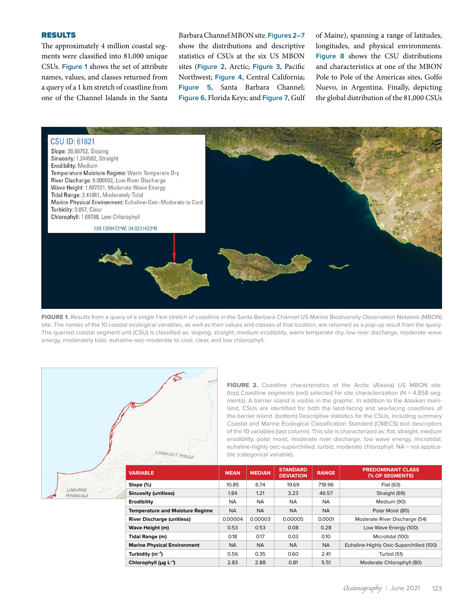## RESULTS

The approximately 4 million coastal segments were classified into 81,000 unique CSUs. **Figure 1** shows the set of attribute names, values, and classes returned from a query of a 1 km stretch of coastline from one of the Channel Islands in the Santa Barbara Channel MBON site. **Figures 2–7** show the distributions and descriptive statistics of CSUs at the six US MBON sites (**Figure 2**, Arctic; **Figure 3**, Pacific Northwest; **Figure 4**, Central California; **Figure 5**, Santa Barbara Channel; **Figure 6**, Florida Keys; and **Figure 7**, Gulf of Maine), spanning a range of latitudes, longitudes, and physical environments. **Figure 8** shows the CSU distributions and characteristics at one of the MBON Pole to Pole of the Americas sites, Golfo Nuevo, in Argentina. Finally, depicting the global distribution of the 81,000 CSUs



FIGURE 1. Results from a query of a single 1 km stretch of coastline in the Santa Barbara Channel US Marine Biodiversity Observation Network (MBON) site. The names of the 10 coastal ecological variables, as well as their values and classes at that location, are returned as a pop-up result from the query. The queried coastal segment unit (CSU) is classified as: sloping, straight, medium erodibility, warm temperate dry, low river discharge, moderate wave energy, moderately tidal, euhaline-oxic-moderate to cool, clear, and low chlorophyll.



PENINSULA

FIGURE 2. Coastline characteristics of the Arctic (Alaska) US MBON site. (top) Coastline segments (red) selected for site characterization (N = 4,858 segments). A barrier island is visible in the graphic. In addition to the Alaskan mainland, CSUs are identified for both the land-facing and sea-facing coastlines of the barrier island. (bottom) Descriptive statistics for the CSUs, including summary Coastal and Marine Ecological Classification Standard (CMECS) text descriptors of the 10 variables (last column). This site is characterized as: flat, straight, medium erodibility, polar moist, moderate river discharge, low wave energy, microtidal, euhaline-highly oxic-superchilled, turbid, moderate chlorophyll. NA = not applicable (categorical variable).

| <b>VARIABLE</b>                         | <b>MEAN</b> | <b>MEDIAN</b> | <b>STANDARD</b><br><b>DEVIATION</b> | <b>RANGE</b> | <b>PREDOMINANT CLASS</b><br>(% OF SEGMENTS) |
|-----------------------------------------|-------------|---------------|-------------------------------------|--------------|---------------------------------------------|
| Slope (%)                               | 10.85       | 6.74          | 19.69                               | 718.96       | Flat (63)                                   |
| <b>Sinuosity (unitless)</b>             | 1.84        | 1.21          | 3.23                                | 46.57        | Straight (69)                               |
| Erodibility                             | <b>NA</b>   | <b>NA</b>     | <b>NA</b>                           | <b>NA</b>    | Medium (90)                                 |
| <b>Temperature and Moisture Regime</b>  | <b>NA</b>   | <b>NA</b>     | <b>NA</b>                           | <b>NA</b>    | Polar Moist (80)                            |
| <b>River Discharge (unitless)</b>       | 0.00004     | 0.00003       | 0.00005                             | 0.0001       | Moderate River Discharge (54)               |
| Wave Height (m)                         | 0.53        | 0.53          | 0.08                                | 0.28         | Low Wave Energy (100)                       |
| Tidal Range (m)                         | 0.18        | 0.17          | 0.03                                | 0.10         | Microtidal (100)                            |
| <b>Marine Physical Environment</b>      | <b>NA</b>   | <b>NA</b>     | <b>NA</b>                           | <b>NA</b>    | Euhaline-Highly Oxic-Superchilled (100)     |
| Turbidity $(m^{-1})$                    | 0.56        | 0.35          | 0.60                                | 2.41         | Turbid (51)                                 |
| Chlorophyll ( $\mu$ g L <sup>-1</sup> ) | 2.83        | 2.88          | 0.81                                | 5.51         | Moderate Chlorophyll (80)                   |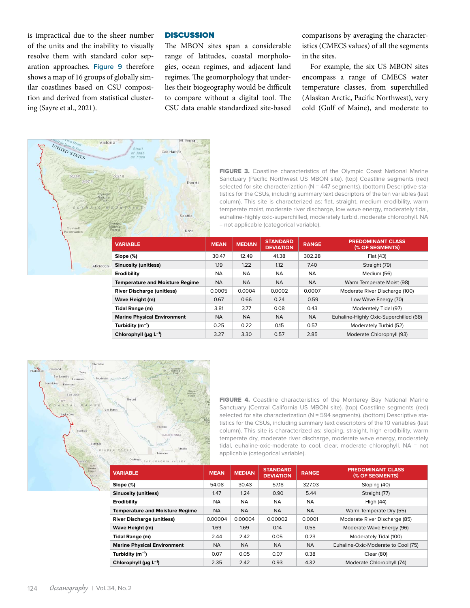is impractical due to the sheer number of the units and the inability to visually resolve them with standard color separation approaches. **Figure 9** therefore shows a map of 16 groups of globally similar coastlines based on CSU composition and derived from statistical clustering (Sayre et al., 2021).

## **DISCUSSION**

The MBON sites span a considerable range of latitudes, coastal morphologies, ocean regimes, and adjacent land regimes. The geomorphology that underlies their biogeography would be difficult to compare without a digital tool. The CSU data enable standardized site-based comparisons by averaging the characteristics (CMECS values) of all the segments in the sites.

For example, the six US MBON sites encompass a range of CMECS water temperature classes, from superchilled (Alaskan Arctic, Pacific Northwest), very cold (Gulf of Maine), and moderate to



Aberdeer

FIGURE 3. Coastline characteristics of the Olympic Coast National Marine Sanctuary (Pacific Northwest US MBON site). (top) Coastline segments (red) selected for site characterization (N = 447 segments). (bottom) Descriptive statistics for the CSUs, including summary text descriptors of the ten variables (last column). This site is characterized as: flat, straight, medium erodibility, warm temperate moist, moderate river discharge, low wave energy, moderately tidal, euhaline-highly oxic-superchilled, moderately turbid, moderate chlorophyll. NA = not applicable (categorical variable).

| <b>VARIABLE</b>                         | <b>MEAN</b> | <b>MEDIAN</b> | <b>STANDARD</b><br><b>DEVIATION</b> | <b>RANGE</b> | <b>PREDOMINANT CLASS</b><br>(% OF SEGMENTS) |
|-----------------------------------------|-------------|---------------|-------------------------------------|--------------|---------------------------------------------|
| Slope (%)                               | 30.47       | 12.49         | 41.38                               | 302.28       | Flat (43)                                   |
| <b>Sinuosity (unitless)</b>             | 1.19        | 1.22          | 1.12                                | 7.40         | Straight (79)                               |
| Erodibility                             | <b>NA</b>   | <b>NA</b>     | <b>NA</b>                           | <b>NA</b>    | Medium (56)                                 |
| <b>Temperature and Moisture Regime</b>  | <b>NA</b>   | <b>NA</b>     | <b>NA</b>                           | <b>NA</b>    | Warm Temperate Moist (98)                   |
| <b>River Discharge (unitless)</b>       | 0.0005      | 0.0004        | 0.0002                              | 0.0007       | Moderate River Discharge (100)              |
| Wave Height (m)                         | 0.67        | 0.66          | 0.24                                | 0.59         | Low Wave Energy (70)                        |
| Tidal Range (m)                         | 3.81        | 3.77          | 0.08                                | 0.43         | Moderately Tidal (97)                       |
| <b>Marine Physical Environment</b>      | <b>NA</b>   | <b>NA</b>     | <b>NA</b>                           | <b>NA</b>    | Euhaline-Highly Oxic-Superchilled (68)      |
| Turbidity $(m^{-1})$                    | 0.25        | 0.22          | 0.15                                | 0.57         | Moderately Turbid (52)                      |
| Chlorophyll ( $\mu$ g L <sup>-1</sup> ) | 3.27        | 3.30          | 0.57                                | 2.85         | Moderate Chlorophyll (93)                   |



FIGURE 4. Coastline characteristics of the Monterey Bay National Marine Sanctuary (Central California US MBON site). (top) Coastline segments (red) selected for site characterization (N = 594 segments). (bottom) Descriptive statistics for the CSUs, including summary text descriptors of the 10 variables (last column). This site is characterized as: sloping, straight, high erodibility, warm temperate dry, moderate river discharge, moderate wave energy, moderately tidal, euhaline-oxic-moderate to cool, clear, moderate chlorophyll. NA = not applicable (categorical variable).

| <b>VARIABLE</b>                         | <b>MEAN</b> | <b>MEDIAN</b> | <b>STANDARD</b><br><b>DEVIATION</b> | <b>RANGE</b> | <b>PREDOMINANT CLASS</b><br>(% OF SEGMENTS) |
|-----------------------------------------|-------------|---------------|-------------------------------------|--------------|---------------------------------------------|
| Slope (%)                               | 54.08       | 30.43         | 57.18                               | 327.03       | Sloping (40)                                |
| Sinuosity (unitless)                    | 1.47        | 1.24          | 0.90                                | 5.44         | Straight (77)                               |
| Erodibility                             | <b>NA</b>   | <b>NA</b>     | <b>NA</b>                           | <b>NA</b>    | High (44)                                   |
| <b>Temperature and Moisture Regime</b>  | <b>NA</b>   | <b>NA</b>     | <b>NA</b>                           | <b>NA</b>    | Warm Temperate Dry (55)                     |
| <b>River Discharge (unitless)</b>       | 0.00004     | 0.00004       | 0.00002                             | 0.0001       | Moderate River Discharge (85)               |
| Wave Height (m)                         | 1.69        | 1.69          | 0.14                                | 0.55         | Moderate Wave Energy (96)                   |
| Tidal Range (m)                         | 2.44        | 2.42          | 0.05                                | 0.23         | Moderately Tidal (100)                      |
| <b>Marine Physical Environment</b>      | <b>NA</b>   | <b>NA</b>     | <b>NA</b>                           | <b>NA</b>    | Euhaline-Oxic-Moderate to Cool (75)         |
| Turbidity $(m^{-1})$                    | 0.07        | 0.05          | 0.07                                | 0.38         | Clear (80)                                  |
| Chlorophyll ( $\mu$ q L <sup>-1</sup> ) | 2.35        | 2.42          | 0.93                                | 4.32         | Moderate Chlorophyll (74)                   |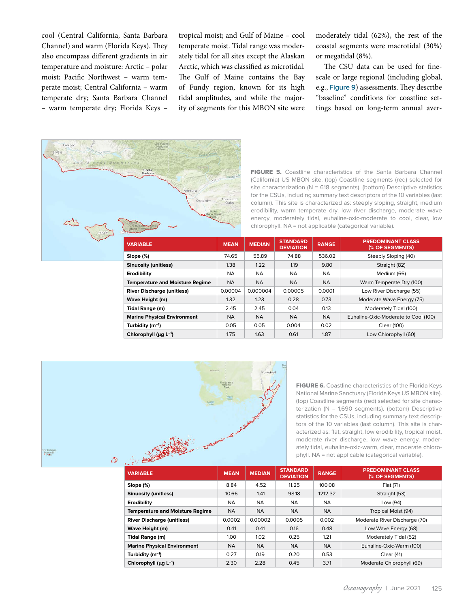cool (Central California, Santa Barbara Channel) and warm (Florida Keys). They also encompass different gradients in air temperature and moisture: Arctic – polar moist; Pacific Northwest – warm temperate moist; Central California – warm temperate dry; Santa Barbara Channel – warm temperate dry; Florida Keys – tropical moist; and Gulf of Maine – cool temperate moist. Tidal range was moderately tidal for all sites except the Alaskan Arctic, which was classified as microtidal. The Gulf of Maine contains the Bay of Fundy region, known for its high tidal amplitudes, and while the majority of segments for this MBON site were moderately tidal (62%), the rest of the coastal segments were macrotidal (30%) or megatidal (8%).

The CSU data can be used for finescale or large regional (including global, e.g., **Figure 9**) assessments. They describe "baseline" conditions for coastline settings based on long-term annual aver-



FIGURE 5. Coastline characteristics of the Santa Barbara Channel (California) US MBON site. (top) Coastline segments (red) selected for site characterization ( $N = 618$  segments). (bottom) Descriptive statistics for the CSUs, including summary text descriptors of the 10 variables (last column). This site is characterized as: steeply sloping, straight, medium erodibility, warm temperate dry, low river discharge, moderate wave energy, moderately tidal, euhaline-oxic-moderate to cool, clear, low chlorophyll. NA = not applicable (categorical variable).

| <b>VARIABLE</b>                         | <b>MEAN</b> | <b>MEDIAN</b> | <b>STANDARD</b><br><b>DEVIATION</b> | <b>RANGE</b> | <b>PREDOMINANT CLASS</b><br>(% OF SEGMENTS) |
|-----------------------------------------|-------------|---------------|-------------------------------------|--------------|---------------------------------------------|
| Slope (%)                               | 74.65       | 55.89         | 74.88                               | 536.02       | Steeply Sloping (40)                        |
| <b>Sinuosity (unitless)</b>             | 1.38        | 1.22          | 1.19                                | 9.80         | Straight (82)                               |
| Erodibility                             | <b>NA</b>   | <b>NA</b>     | <b>NA</b>                           | <b>NA</b>    | Medium (66)                                 |
| <b>Temperature and Moisture Regime</b>  | <b>NA</b>   | <b>NA</b>     | <b>NA</b>                           | <b>NA</b>    | Warm Temperate Dry (100)                    |
| <b>River Discharge (unitless)</b>       | 0.00004     | 0.000004      | 0.00005                             | 0.0001       | Low River Discharge (55)                    |
| Wave Height (m)                         | 1.32        | 1.23          | 0.28                                | 0.73         | Moderate Wave Energy (75)                   |
| Tidal Range (m)                         | 2.45        | 2.45          | 0.04                                | 0.13         | Moderately Tidal (100)                      |
| <b>Marine Physical Environment</b>      | <b>NA</b>   | <b>NA</b>     | <b>NA</b>                           | <b>NA</b>    | Euhaline-Oxic-Moderate to Cool (100)        |
| Turbidity $(m^{-1})$                    | 0.05        | 0.05          | 0.004                               | 0.02         | Clear (100)                                 |
| Chlorophyll ( $\mu$ q L <sup>-1</sup> ) | 1.75        | 1.63          | 0.61                                | 1.87         | Low Chlorophyll (60)                        |



FIGURE 6. Coastline characteristics of the Florida Keys National Marine Sanctuary (Florida Keys US MBON site). (top) Coastline segments (red) selected for site characterization ( $N = 1,690$  segments). (bottom) Descriptive statistics for the CSUs, including summary text descriptors of the 10 variables (last column). This site is characterized as: flat, straight, low erodibility, tropical moist, moderate river discharge, low wave energy, moderately tidal, euhaline-oxic-warm, clear, moderate chlorophyll. NA = not applicable (categorical variable).

| <b>VARIABLE</b>                         | <b>MEAN</b> | <b>MEDIAN</b> | <b>STANDARD</b><br><b>DEVIATION</b> | <b>RANGE</b> | <b>PREDOMINANT CLASS</b><br>(% OF SEGMENTS) |
|-----------------------------------------|-------------|---------------|-------------------------------------|--------------|---------------------------------------------|
| Slope (%)                               | 8.84        | 4.52          | 11.25                               | 100.08       | Flat (71)                                   |
| <b>Sinuosity (unitless)</b>             | 10.66       | 1.41          | 98.18                               | 1212.32      | Straight (53)                               |
| Erodibility                             | <b>NA</b>   | <b>NA</b>     | <b>NA</b>                           | <b>NA</b>    | Low (94)                                    |
| <b>Temperature and Moisture Regime</b>  | <b>NA</b>   | <b>NA</b>     | <b>NA</b>                           | <b>NA</b>    | Tropical Moist (94)                         |
| <b>River Discharge (unitless)</b>       | 0.0002      | 0.00002       | 0.0005                              | 0.002        | Moderate River Discharge (70)               |
| Wave Height (m)                         | 0.41        | 0.41          | 0.16                                | 0.48         | Low Wave Energy (68)                        |
| <b>Tidal Range (m)</b>                  | 1.00        | 1.02          | 0.25                                | 1.21         | Moderately Tidal (52)                       |
| <b>Marine Physical Environment</b>      | <b>NA</b>   | <b>NA</b>     | <b>NA</b>                           | <b>NA</b>    | Euhaline-Oxic-Warm (100)                    |
| Turbidity $(m^{-1})$                    | 0.27        | 0.19          | 0.20                                | 0.53         | Clear (41)                                  |
| Chlorophyll ( $\mu$ g L <sup>-1</sup> ) | 2.30        | 2.28          | 0.45                                | 3.71         | Moderate Chlorophyll (69)                   |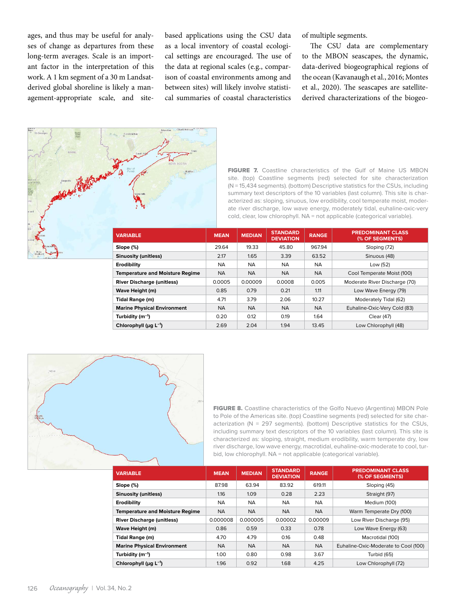ages, and thus may be useful for analyses of change as departures from these long-term averages. Scale is an important factor in the interpretation of this work. A 1 km segment of a 30 m Landsatderived global shoreline is likely a management-appropriate scale, and sitebased applications using the CSU data as a local inventory of coastal ecological settings are encouraged. The use of the data at regional scales (e.g., comparison of coastal environments among and between sites) will likely involve statistical summaries of coastal characteristics of multiple segments.

The CSU data are complementary to the MBON seascapes, the dynamic, data-derived biogeographical regions of the ocean (Kavanaugh et al., 2016; Montes et al., 2020). The seascapes are satellitederived characterizations of the biogeo-



FIGURE 7. Coastline characteristics of the Gulf of Maine US MBON site. (top) Coastline segments (red) selected for site characterization (N = 15,434 segments). (bottom) Descriptive statistics for the CSUs, including summary text descriptors of the 10 variables (last column). This site is characterized as: sloping, sinuous, low erodibility, cool temperate moist, moderate river discharge, low wave energy, moderately tidal, euhaline-oxic-very cold, clear, low chlorophyll. NA = not applicable (categorical variable).

| <b>VARIABLE</b>                        | <b>MEAN</b> | <b>MEDIAN</b> | <b>STANDARD</b><br><b>DEVIATION</b> | <b>RANGE</b> | <b>PREDOMINANT CLASS</b><br>(% OF SEGMENTS) |
|----------------------------------------|-------------|---------------|-------------------------------------|--------------|---------------------------------------------|
| Slope (%)                              | 29.64       | 19.33         | 45.80                               | 967.94       | Sloping (72)                                |
| <b>Sinuosity (unitless)</b>            | 2.17        | 1.65          | 3.39                                | 63.52        | Sinuous (48)                                |
| Erodibility                            | <b>NA</b>   | NA.           | <b>NA</b>                           | <b>NA</b>    | Low (52)                                    |
| <b>Temperature and Moisture Regime</b> | <b>NA</b>   | <b>NA</b>     | <b>NA</b>                           | <b>NA</b>    | Cool Temperate Moist (100)                  |
| <b>River Discharge (unitless)</b>      | 0.0005      | 0.00009       | 0.0008                              | 0.005        | Moderate River Discharge (70)               |
| Wave Height (m)                        | 0.85        | 0.79          | 0.21                                | 1.11         | Low Wave Energy (79)                        |
| Tidal Range (m)                        | 4.71        | 3.79          | 2.06                                | 10.27        | Moderately Tidal (62)                       |
| <b>Marine Physical Environment</b>     | <b>NA</b>   | <b>NA</b>     | <b>NA</b>                           | <b>NA</b>    | Euhaline-Oxic-Very Cold (83)                |
| Turbidity $(m^{-1})$                   | 0.20        | 0.12          | 0.19                                | 1.64         | Clear (47)                                  |
| Chlorophyll ( $\mu q L^{-1}$ )         | 2.69        | 2.04          | 1.94                                | 13.45        | Low Chlorophyll (48)                        |



FIGURE 8. Coastline characteristics of the Golfo Nuevo (Argentina) MBON Pole to Pole of the Americas site. (top) Coastline segments (red) selected for site characterization ( $N = 297$  segments). (bottom) Descriptive statistics for the CSUs, including summary text descriptors of the 10 variables (last column). This site is characterized as: sloping, straight, medium erodibility, warm temperate dry, low river discharge, low wave energy, macrotidal, euhaline-oxic-moderate to cool, turbid, low chlorophyll. NA = not applicable (categorical variable).

| <b>VARIABLE</b>                         | <b>MEAN</b> | <b>MEDIAN</b> | <b>STANDARD</b><br><b>DEVIATION</b> | <b>RANGE</b> | <b>PREDOMINANT CLASS</b><br>(% OF SEGMENTS) |
|-----------------------------------------|-------------|---------------|-------------------------------------|--------------|---------------------------------------------|
| Slope (%)                               | 87.98       | 63.94         | 83.92                               | 619.11       | Sloping (45)                                |
| <b>Sinuosity (unitless)</b>             | 1.16        | 1.09          | 0.28                                | 2.23         | Straight (97)                               |
| Erodibility                             | <b>NA</b>   | <b>NA</b>     | <b>NA</b>                           | <b>NA</b>    | Medium (100)                                |
| <b>Temperature and Moisture Regime</b>  | <b>NA</b>   | <b>NA</b>     | <b>NA</b>                           | <b>NA</b>    | Warm Temperate Dry (100)                    |
| <b>River Discharge (unitless)</b>       | 0.000008    | 0.000005      | 0.00002                             | 0.00009      | Low River Discharge (95)                    |
| Wave Height (m)                         | 0.86        | 0.59          | 0.33                                | 0.78         | Low Wave Energy (63)                        |
| <b>Tidal Range (m)</b>                  | 4.70        | 4.79          | 0.16                                | 0.48         | Macrotidal (100)                            |
| <b>Marine Physical Environment</b>      | <b>NA</b>   | <b>NA</b>     | <b>NA</b>                           | <b>NA</b>    | Euhaline-Oxic-Moderate to Cool (100)        |
| Turbidity $(m^{-1})$                    | 1.00        | 0.80          | 0.98                                | 3.67         | Turbid (65)                                 |
| Chlorophyll ( $\mu$ q L <sup>-1</sup> ) | 1.96        | 0.92          | 1.68                                | 4.25         | Low Chlorophyll (72)                        |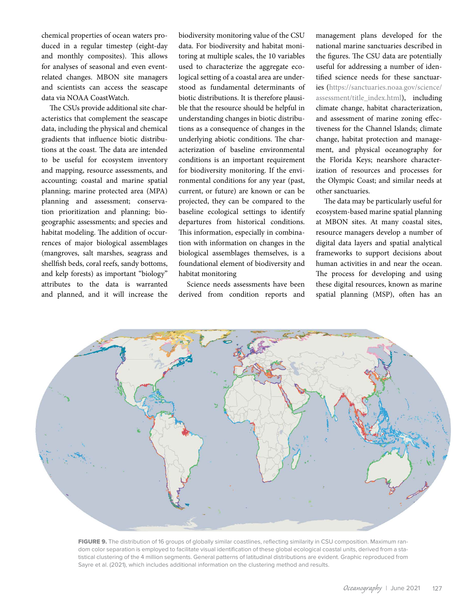chemical properties of ocean waters produced in a regular timestep (eight-day and monthly composites). This allows for analyses of seasonal and even eventrelated changes. MBON site managers and scientists can access the seascape data via NOAA CoastWatch.

The CSUs provide additional site characteristics that complement the seascape data, including the physical and chemical gradients that influence biotic distributions at the coast. The data are intended to be useful for ecosystem inventory and mapping, resource assessments, and accounting; coastal and marine spatial planning; marine protected area (MPA) planning and assessment; conservation prioritization and planning; biogeographic assessments; and species and habitat modeling. The addition of occurrences of major biological assemblages (mangroves, salt marshes, seagrass and shellfish beds, coral reefs, sandy bottoms, and kelp forests) as important "biology" attributes to the data is warranted and planned, and it will increase the biodiversity monitoring value of the CSU data. For biodiversity and habitat monitoring at multiple scales, the 10 variables used to characterize the aggregate ecological setting of a coastal area are understood as fundamental determinants of biotic distributions. It is therefore plausible that the resource should be helpful in understanding changes in biotic distributions as a consequence of changes in the underlying abiotic conditions. The characterization of baseline environmental conditions is an important requirement for biodiversity monitoring. If the environmental conditions for any year (past, current, or future) are known or can be projected, they can be compared to the baseline ecological settings to identify departures from historical conditions. This information, especially in combination with information on changes in the biological assemblages themselves, is a foundational element of biodiversity and habitat monitoring

Science needs assessments have been derived from condition reports and management plans developed for the national marine sanctuaries described in the figures. The CSU data are potentially useful for addressing a number of identified science needs for these sanctuaries ([https://sanctuaries.noaa.gov/science/](https://sanctuaries.noaa.gov/science/assessment/title_index.html) [assessment/title\\_index.html](https://sanctuaries.noaa.gov/science/assessment/title_index.html)), including climate change, habitat characterization, and assessment of marine zoning effectiveness for the Channel Islands; climate change, habitat protection and management, and physical oceanography for the Florida Keys; nearshore characterization of resources and processes for the Olympic Coast; and similar needs at other sanctuaries.

The data may be particularly useful for ecosystem-based marine spatial planning at MBON sites. At many coastal sites, resource managers develop a number of digital data layers and spatial analytical frameworks to support decisions about human activities in and near the ocean. The process for developing and using these digital resources, known as marine spatial planning (MSP), often has an



FIGURE 9. The distribution of 16 groups of globally similar coastlines, reflecting similarity in CSU composition. Maximum random color separation is employed to facilitate visual identification of these global ecological coastal units, derived from a statistical clustering of the 4 million segments. General patterns of latitudinal distributions are evident. Graphic reproduced from Sayre et al. (2021), which includes additional information on the clustering method and results.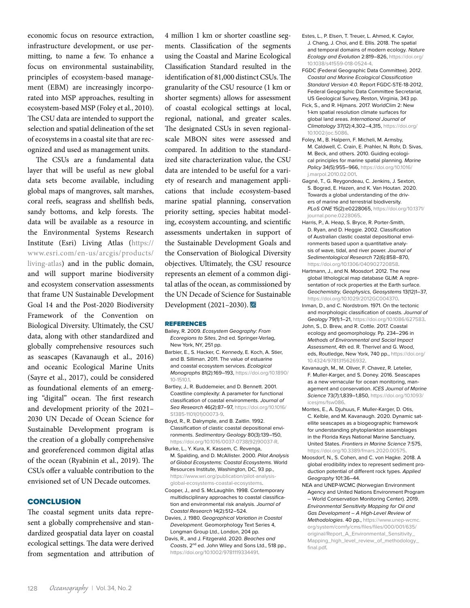economic focus on resource extraction, infrastructure development, or use permitting, to name a few. To enhance a focus on environmental sustainability, principles of ecosystem-based management (EBM) are increasingly incorporated into MSP approaches, resulting in ecosystem-based MSP (Foley et al., 2010). The CSU data are intended to support the selection and spatial delineation of the set of ecosystems in a coastal site that are recognized and used as management units.

The CSUs are a fundamental data layer that will be useful as new global data sets become available, including global maps of mangroves, salt marshes, coral reefs, seagrass and shellfish beds, sandy bottoms, and kelp forests. The data will be available as a resource in the Environmental Systems Research Institute (Esri) Living Atlas [\(https://](https://www.esri.com/en-us/arcgis/products/living-atlas) [www.esri.com/en-us/arcgis/products/](https://www.esri.com/en-us/arcgis/products/living-atlas) [living-atlas](https://www.esri.com/en-us/arcgis/products/living-atlas)) and in the public domain, and will support marine biodiversity and ecosystem conservation assessments that frame UN Sustainable Development Goal 14 and the Post-2020 Biodiversity Framework of the Convention on Biological Diversity. Ultimately, the CSU data, along with other standardized and globally comprehensive resources such as seascapes (Kavanaugh et al., 2016) and oceanic Ecological Marine Units (Sayre et al., 2017), could be considered as foundational elements of an emerging "digital" ocean. The first research and development priority of the 2021– 2030 UN Decade of Ocean Science for Sustainable Development program is the creation of a globally comprehensive and georeferenced common digital atlas of the ocean (Ryabinin et al., 2019). The CSUs offer a valuable contribution to the envisioned set of UN Decade outcomes.

## **CONCLUSION**

The coastal segment units data represent a globally comprehensive and standardized geospatial data layer on coastal ecological settings. The data were derived from segmentation and attribution of 4 million 1 km or shorter coastline segments. Classification of the segments using the Coastal and Marine Ecological Classification Standard resulted in the identification of 81,000 distinct CSUs. The granularity of the CSU resource (1 km or shorter segments) allows for assessment of coastal ecological settings at local, regional, national, and greater scales. The designated CSUs in seven regionalscale MBON sites were assessed and compared. In addition to the standardized site characterization value, the CSU data are intended to be useful for a variety of research and management applications that include ecosystem-based marine spatial planning, conservation priority setting, species habitat modeling, ecosystem accounting, and scientific assessments undertaken in support of the Sustainable Development Goals and the Conservation of Biological Diversity objectives. Ultimately, the CSU resource represents an element of a common digital atlas of the ocean, as commissioned by the UN Decade of Science for Sustainable Development (2021-2030).

#### REFERENCES

- Bailey, R. 2009. *Ecosystem Geography: From Ecoregions to Sites*, 2nd ed. Springer-Verlag, New York, NY, 251 pp.
- Barbier, E., S. Hacker, C. Kennedy, E. Koch, A. Stier, and B. Silliman. 2011. The value of estuarine and coastal ecosystem services. *Ecological Monographs* 81(2):169–193, [https://doi.org/10.1890/](https://doi.org/10.1890/10-1510.1) [10-1510.1](https://doi.org/10.1890/10-1510.1).
- Bartley, J., R. Buddemeier, and D. Bennett. 2001. Coastline complexity: A parameter for functional classification of coastal environments. *Journal of Sea Research* 46(2):87–97, [https://doi.org/10.1016/](https://doi.org/10.1016/S1385-1101(01)00073-9) [S1385-1101\(01\)00073-9.](https://doi.org/10.1016/S1385-1101(01)00073-9)
- Boyd, R., R. Dalrymple, and B. Zaitlin. 1992. Classification of clastic coastal depositional environments. *Sedimentary Geology* 80(3):139–150, [https://doi.org/10.1016/0037-0738\(92\)90037-R.](https://doi.org/10.1016/0037-0738(92)90037-R)
- Burke, L., Y. Kura, K. Kassem, C. Revenga, M. Spalding, and D. McAllister. 2000. *Pilot Analysis of Global Ecosystems: Coastal Ecosystems*. World Resources Institute, Washington, DC, 93 pp., [https://www.wri.org/publication/pilot-analysis](https://www.wri.org/publication/pilot-analysis-global-ecosystems-coastal-ecosystems)[global-ecosystems-coastal-ecosystems](https://www.wri.org/publication/pilot-analysis-global-ecosystems-coastal-ecosystems).

Cooper, J., and S. McLaughlin. 1998. Contemporary multidisciplinary approaches to coastal classification and environmental risk analysis. *Journal of Coastal Research* 14(2):512–524.

- Davies, J. 1980. *Geographical Variation in Coastal Development*. Geomorphology Text Series 4, Longman Group Ltd., London, 204 pp.
- Davis, R., and J. Fitzgerald. 2020. *Beaches and Coasts*, 2nd ed. John Wiley and Sons Ltd., 518 pp., <https://doi.org/10.1002/9781119334491>.
- Estes, L., P. Elsen, T. Treuer, L. Ahmed, K. Caylor, J. Chang, J. Choi, and E. Ellis. 2018. The spatial and temporal domains of modern ecology*. Nature Ecology and Evolution* 2:819–826, [https://doi.org/](https://doi.org/10.1038/s41559-018-0524-4) [10.1038/s41559-018-0524-4](https://doi.org/10.1038/s41559-018-0524-4).
- FGDC (Federal Geographic Data Committee). 2012. *Coastal and Marine Ecological Classification Standard Version 4.0*. Report FGDC-STE-18-2012, Federal Geographic Data Committee Secretariat, US Geological Survey, Reston, Virginia, 343 pp.
- Fick, S., and R. Hijmans. 2017. WorldClim 2: New 1-km spatial resolution climate surfaces for global land areas. *International Journal of Climatology* 37(12):4,302–4,315, [https://doi.org/](https://doi.org/10.1002/joc.5086) [10.1002/joc.5086.](https://doi.org/10.1002/joc.5086)
- Foley, M., B. Halpern, F. Micheli, M. Armsby, M. Caldwell, C. Crain, E. Prahler, N. Rohr, D. Sivas, M. Beck, and others. 2010. Guiding ecological principles for marine spatial planning. *Marine Policy* 34(5):955–966, [https://doi.org/10.1016/](https://doi.org/10.1016/j.marpol.2010.02.001) [j.marpol.2010.02.001.](https://doi.org/10.1016/j.marpol.2010.02.001)
- Gagné, T., G. Reygondeau, C. Jenkins, J. Sexton, S. Bograd, E. Hazen, and K. Van Houtan. 2020. Towards a global understanding of the drivers of marine and terrestrial biodiversity. *PLoS ONE* 15(2):e0228065, [https://doi.org/10.1371/](https://doi.org/10.1371/journal.pone.0228065) [journal.pone.0228065.](https://doi.org/10.1371/journal.pone.0228065)
- Harris, P., A. Heap, S. Bryce, R. Porter-Smith, D. Ryan, and D. Heggie. 2002. Classification of Australian clastic coastal depositional environments based upon a quantitative analysis of wave, tidal, and river power. *Journal of Sedimentological Research* 72(6):858–870, [https://doi.org/10.1306/040902720858.](https://doi.org/10.1306/040902720858)
- Hartmann, J., and N. Moosdorf. 2012. The new global lithological map database GLiM: A representation of rock properties at the Earth surface. *Geochemistry, Geophysics, Geosystems* 13(12)1–37, [https://doi.org/10.1029/2012GC004370.](https://doi.org/10.1029/2012GC004370)
- Inman, D., and C. Nordstrom. 1971. On the tectonic and morphologic classification of coasts. *Journal of Geology* 79(1):1–21,<https://doi.org/10.1086/627583>.
- John, S., D. Brew, and R. Cottle. 2017. Coastal ecology and geomorphology. Pp. 234–296 in *Methods of Environmental and Social Impact Assessment*, 4th ed. R. Therivel and G. Wood, eds, Routledge, New York, 740 pp., [https://doi.org/](https://doi.org/10.4324/9781315626932) [10.4324/9781315626932.](https://doi.org/10.4324/9781315626932)
- Kavanaugh, M., M. Oliver, F. Chavez, R. Letelier, F. Muller-Karger, and S. Doney. 2016. Seascapes as a new vernacular for ocean monitoring, management and conservation. *ICES Journal of Marine Science* 73(7):1,839–1,850, [https://doi.org/10.1093/](https://doi.org/10.1093/icesjms/fsw086) [icesjms/fsw086](https://doi.org/10.1093/icesjms/fsw086).
- Montes, E., A. Djuhuus, F. Muller-Karger, D. Otis, C. Kelble, and M. Kavanaugh. 2020. Dynamic satellite seascapes as a biogeographic framework for understanding phytoplankton assemblages in the Florida Keys National Marine Sanctuary, United States. *Frontiers in Marine Science* 7:575, <https://doi.org/10.3389/fmars.2020.00575>.
- Moosdorf, N., S. Cohen, and C. von Hagke. 2018. A global erodibility index to represent sediment production potential of different rock types. *Applied Geography* 101:36–44.
- NEA and UNEP-WCMC (Norwegian Environment Agency and United Nations Environment Program – World Conservation Monitoring Center). 2019. *Environmental Sensitivity Mapping for Oil and Gas Development – A High-Level Review of Methodologies*. 40 pp., [https://www.unep-wcmc.](https://www.unep-wcmc.org/system/comfy/cms/files/files/000/001/635/original/Report_A_Environmental_Sensitivity_Mapping_high_level_review_of_methodology_final.pdf) [org/system/comfy/cms/files/files/000/001/635/](https://www.unep-wcmc.org/system/comfy/cms/files/files/000/001/635/original/Report_A_Environmental_Sensitivity_Mapping_high_level_review_of_methodology_final.pdf) [original/Report\\_A\\_Environmental\\_Sensitivity\\_](https://www.unep-wcmc.org/system/comfy/cms/files/files/000/001/635/original/Report_A_Environmental_Sensitivity_Mapping_high_level_review_of_methodology_final.pdf) [Mapping\\_high\\_level\\_review\\_of\\_methodology\\_](https://www.unep-wcmc.org/system/comfy/cms/files/files/000/001/635/original/Report_A_Environmental_Sensitivity_Mapping_high_level_review_of_methodology_final.pdf) [final.pdf.](https://www.unep-wcmc.org/system/comfy/cms/files/files/000/001/635/original/Report_A_Environmental_Sensitivity_Mapping_high_level_review_of_methodology_final.pdf)